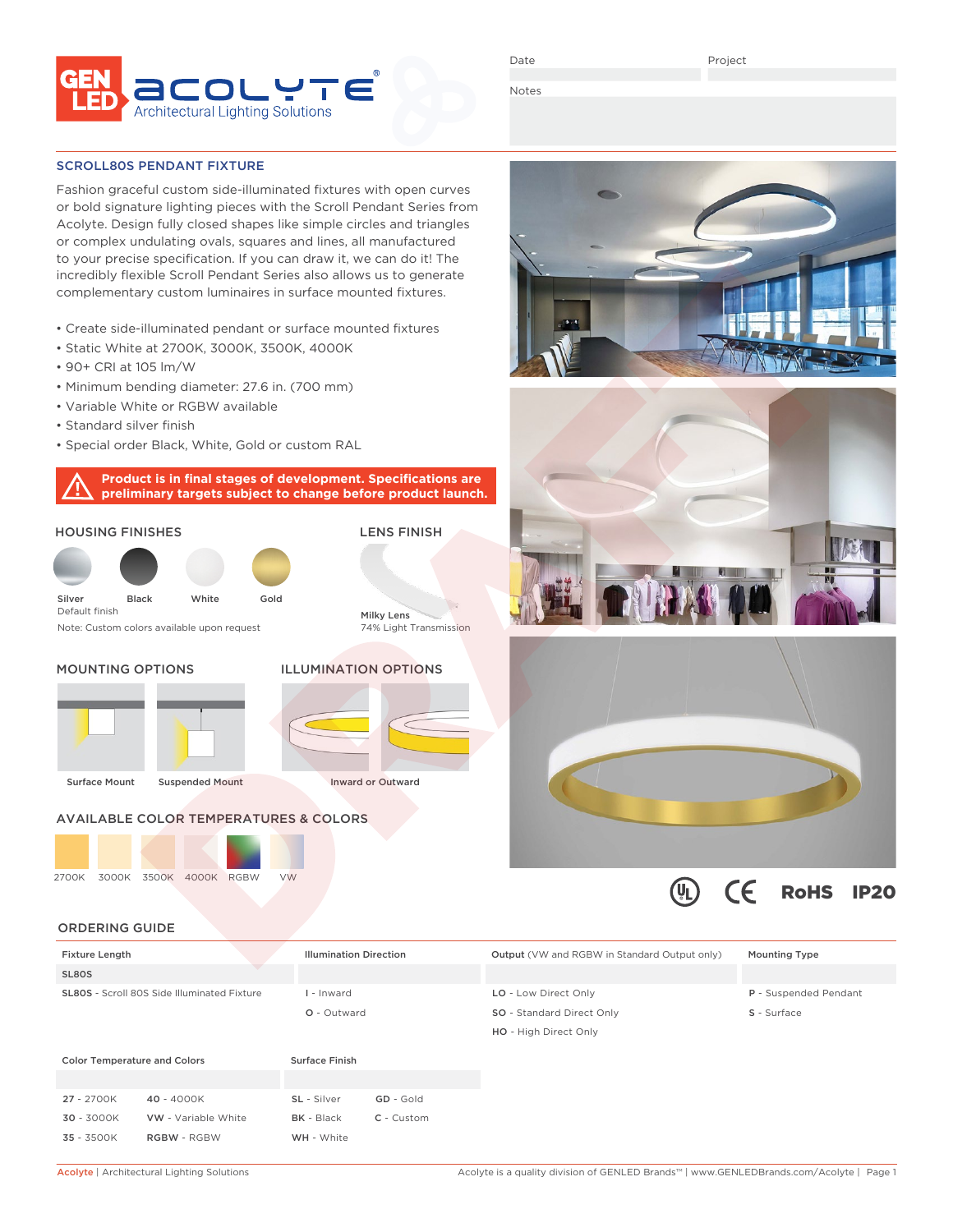

Date

Project

Notes

SCROLL80S PENDANT FIXTURE

Fashion graceful custom side-illuminated fixtures with open curves or bold signature lighting pieces with the Scroll Pendant Series from Acolyte. Design fully closed shapes like simple circles and triangles or complex undulating ovals, squares and lines, all manufactured to your precise specification. If you can draw it, we can do it! The incredibly flexible Scroll Pendant Series also allows us to generate complementary custom luminaires in surface mounted fixtures.

- Create side-illuminated pendant or surface mounted fixtures
- Static White at 2700K, 3000K, 3500K, 4000K
- 90+ CRI at 105 lm/W
- Minimum bending diameter: 27.6 in. (700 mm)
- Variable White or RGBW available
- Standard silver finish
- Special order Black, White, Gold or custom RAL

**Product is in final stages of development. Specifications are preliminary targets subject to change before product launch.**

# HOUSING FINISHES



Note: Custom colors available upon request

### MOUNTING OPTIONS





Inward or Outward

LENS FINISH

Milky Lens

74% Light Transmission

## AVAILABLE COLOR TEMPERATURES & COLORS

2700K 3000K 3500K 4000K RGBW VW







 $\left[\mathsf{U}_\mathsf{L}\right]$ 

 $\epsilon$ 

RoHS IP20

#### ORDERING GUIDE

| <b>Fixture Length</b>                              |                     | <b>Illumination Direction</b> |            | <b>Output</b> (VW and RGBW in Standard Output only) | <b>Mounting Type</b>  |
|----------------------------------------------------|---------------------|-------------------------------|------------|-----------------------------------------------------|-----------------------|
| SL80S                                              |                     |                               |            |                                                     |                       |
| <b>SL80S</b> - Scroll 80S Side Illuminated Fixture |                     | I - Inward                    |            | LO - Low Direct Only                                | P - Suspended Pendant |
|                                                    |                     | O - Outward                   |            | SO - Standard Direct Only                           | S - Surface           |
|                                                    |                     |                               |            | HO - High Direct Only                               |                       |
| <b>Color Temperature and Colors</b>                |                     | <b>Surface Finish</b>         |            |                                                     |                       |
| 27 - 2700K                                         | 40 - 4000K          | SL - Silver                   | GD - Gold  |                                                     |                       |
| 30 - 3000K                                         | VW - Variable White | <b>BK</b> - Black             | C - Custom |                                                     |                       |
| 35 - 3500K                                         | <b>RGBW - RGBW</b>  | WH - White                    |            |                                                     |                       |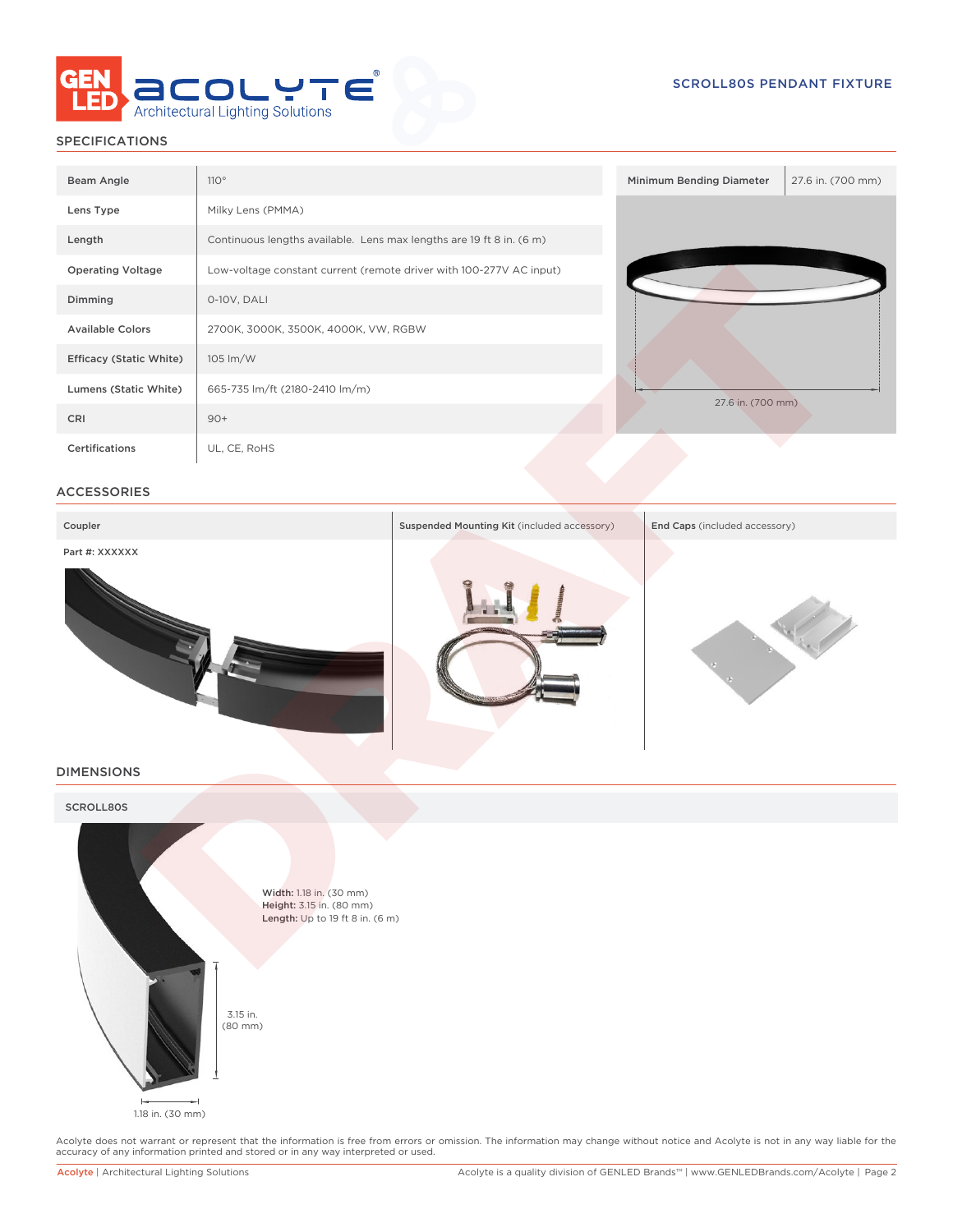

# SPECIFICATIONS

| Beam Angle                     | 110°                                                                 | Minimum Bending Diameter | 27.6 in. (700 mm) |
|--------------------------------|----------------------------------------------------------------------|--------------------------|-------------------|
| Lens Type                      | Milky Lens (PMMA)                                                    |                          |                   |
| Length                         | Continuous lengths available. Lens max lengths are 19 ft 8 in. (6 m) |                          |                   |
| <b>Operating Voltage</b>       | Low-voltage constant current (remote driver with 100-277V AC input)  |                          |                   |
| Dimming                        | 0-10V, DALI                                                          |                          |                   |
| <b>Available Colors</b>        | 2700K, 3000K, 3500K, 4000K, VW, RGBW                                 |                          |                   |
| <b>Efficacy (Static White)</b> | 105 lm/W                                                             |                          |                   |
| Lumens (Static White)          | 665-735 lm/ft (2180-2410 lm/m)                                       | 27.6 in. (700 mm)        |                   |
| CRI                            | $90+$                                                                |                          |                   |
| Certifications                 | UL, CE, RoHS                                                         |                          |                   |

# ACCESSORIES



### DIMENSIONS



Acolyte does not warrant or represent that the information is free from errors or omission. The information may change without notice and Acolyte is not in any way liable for the<br>accuracy of any information printed and sto